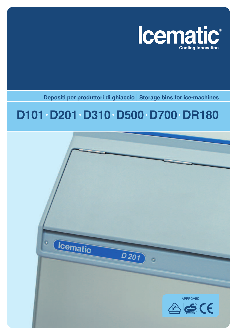

**Depositi per produttori di ghiaccio Storage bins for ice-machines**

## **D101• D201• D310• D500• D700• DR180**

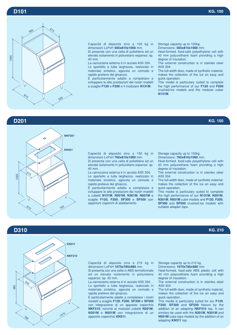

Capacità di deposito sino a 100 kg in dimensioni LxPxH **565x810x1060** mm.

Si presenta con una cella di polietilene ed un elevato isolamento in poliuretano espanso: sp. 40 mm.

La carrozzeria esterna è in acciaio AISI 304. Lo sportello a tutta larghezza, realizzato in materiale sintetico, agevola un comodo e rapido prelievo del ghiaccio.

É particolarmente adatto a completare e sviluppare le alte prestazioni dei nostri modelli a scaglie **F120** e **F200** e il modulare **N131M**.

Storage capacity up to 100kg.

Dimensions: **565x810x1060** mm.

Heat-formed, food-safe polyethylene cell with 40 mm polyurethane foam providing a high degree of insulation.

The external construction is in stainles steel AISI 304.

The full-width door, made of synthetic material, makes the collection of the ice an easy and quick operation.

This model is particulary suited to complete the high performance of our **F120** and **F200** crushed-ice models and the modular cuber **N131M**.



Capacità di deposito sino a 150 kg in dimensioni LxPxH **765x810x1060** mm.

Si presenta con una cella di polietilene ed un elevato isolamento in poliuretano espanso: sp. 40 mm.

La carrozzeria esterna è in acciaio AISI 304. Lo sportello a tutta larghezza, realizzato in materiale sintetico, agevola un comodo e rapido prelievo del ghiaccio.

É particolarmente adatto a completare e sviluppare le alte prestazioni dei nostri modelli a cubetti **N131M**, **N201M**, **N301M**, **N501M** e scaglie **F120, F200**, **SF300** e **SF500** con opportuni coperchi di adattamento.

Storage capacity up to 150kg.

Dimensions: **765x810x1060** mm.

Heat-formed, food-safe polyethylene cell with 40 mm polyurethane foam providing a high degree of insulation.

The external construction is in stainles steel AISI 304.

The full-width door, made of synthetic material, makes the collection of the ice an easy and quick operation.

This model is particulary suited to complete the high performance of our **N131M**, **N201M**, **N301M**, **N501M** cube models and **F120**, **F200**, **SF300** and **SF500** crushed-ice models with suitable adapter tops.





Capacità di deposito sino a 210 kg in dimensioni LxPxH **1075x785x980** mm.

Si presenta con una cella in ABS termoformato ed un elevato isolamento in poliuretano espanso: sp. 40 mm.

La carrozzeria esterna è in acciaio AISI 304. Lo sportello a tutta larghezza, realizzato in materiale sintetico, agevola un comodo e rapido prelievo del ghiaccio.

É particolarmente adatto a completare i nostri modelli a scaglie **F120**, **F200**, **SF300** e **SF500** con integrazione di un apposito coperchio **NKF310**, nonché ai modulari cubetti **N201M**, **N301M** e **N501M** con integrazione di un apposito coperchio **KN311**.

Storage capacity up to 210 kg.

Dimensions: **1075x785x980** mm.

Heat-formed, food-safe ABS plastic cell with 40 mm polyurethane foam providing a high degree of insulation.

The external construction is in stainles steel AISI 304.

The full-width door, made of synthetic material, makes the collection of the ice an easy and quick operation.

This model is particulary suited for our **F120**, **F200**, **SF300** and **SF500** flakers by the addition of an adapting **NKF310** top. It can similary be used with the **N201M**, **N301M** and **N501M** cube-type models by the addition of an adapting **KN311** top.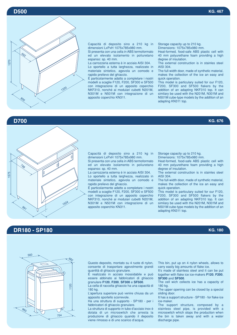

Capacità di deposito sino a 210 kg in dimensioni LxPxH 1075x785x980 mm.

Si presenta con una cella in ABS termoformato ed un elevato isolamento in poliuretano espanso: sp. 40 mm.

La carrozzeria esterna è in acciaio AISI 304. Lo sportello a tutta larghezza, realizzato in materiale sintetico, agevola un comodo e rapido prelievo del ghiaccio.

É particolarmente adatto a completare i nostri modelli a scaglie F120, F200, SF300 e SF500 con integrazione di un apposito coperchio NKF310, nonché ai modulari cubetti N201M, N301M e N501M con integrazione di un apposito coperchio KN311.

Storage capacity up to 210 kg.

Dimensions: 1075x785x980 mm.

Heat-formed, food-safe ABS plastic cell with 40 mm polyurethane foam providing a high degree of insulation.

The external construction is in stainles steel AISI 304.

The full-width door, made of synthetic material, makes the collection of the ice an easy and quick operation.

This model is particulary suited for our F120, F200, SF300 and SF500 flakers by the addition of an adapting NKF310 top. It can similary be used with the N201M, N301M and N501M cube-type models by the addition of an adapting KN311 top.

## **D700 KG. 676**



Capacità di deposito sino a 210 kg in dimensioni LxPxH 1075x785x980 mm.

Si presenta con una cella in ABS termoformato ed un elevato isolamento in poliuretano espanso: sp. 40 mm.

La carrozzeria esterna è in acciaio AISI 304. Lo sportello a tutta larghezza, realizzato in materiale sintetico, agevola un comodo e rapido prelievo del ghiaccio.

É particolarmente adatto a completare i nostri modelli a scaglie F120, F200, SF300 e SF500 con integrazione di un apposito coperchio NKF310, nonché ai modulari cubetti N201M, N301M e N501M con integrazione di un apposito coperchio KN311.

Storage capacity up to 210 kg.

Dimensions: 1075x785x980 mm.

Heat-formed, food-safe ABS plastic cell with 40 mm polyurethane foam providing a high degree of insulation.

The external construction is in stainles steel AISI 304.

The full-width door, made of synthetic material, makes the collection of the ice an easy and quick operation.

This model is particulary suited for our F120, F200, SF300 and SF500 flakers by the addition of an adapting NKF310 top. It can similary be used with the N201M, N301M and N501M cube-type models by the addition of an adapting KN311 top.

## **DR180 - SP180 KG. 180**



Questo deposito, montato su 4 ruote di nylon, consente di trasportare agevolmente grandi quantità di ghiaccio granulare.

É realizzato in acciaio inossidabile e può essere abbinato ai fabbricatori di ghiaccio granulare **F120**, **F200**, **SF300** e **SF500**.

La cella di raccolta ghiaccio ha una capacità di 180 kg.

L'apertura superiore può venire chiusa da un apposito sportello scorrevole.

Ha una struttura di supporto - SP180 - per i fabbricatori di ghiaccio granulare.

La struttura di supporto in tubo d'acciaio inox è dotata di un microswitch che arresta la produzione di ghiaccio quando il deposito viene rimosso e di uno scarico d'acqua.

This bin, put up on 4 nylon wheels, allows to carry easily big amounts of flake ice.

It's made of stainless steel and it can be put together with flake ice ice-makers **F120**, **F200**, **SF300** and **SF500**.

The cell wich collects ice has a capacity of 180 kg.

The upper opening can be closed by a special sliding door.

It has a support structure - SP180 - for flake ice ice-maker.

The support structure, composed by a stainless steel pipe, is provided with a microswitch which stops the production when the bin is taken away and with a water discharge pipe.